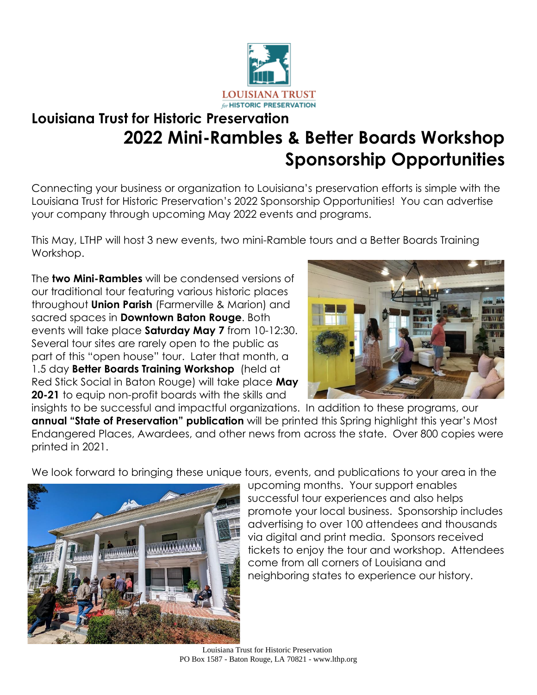

# **Louisiana Trust for Historic Preservation 2022 Mini-Rambles & Better Boards Workshop Sponsorship Opportunities**

Connecting your business or organization to Louisiana's preservation efforts is simple with the Louisiana Trust for Historic Preservation's 2022 Sponsorship Opportunities! You can advertise your company through upcoming May 2022 events and programs.

This May, LTHP will host 3 new events, two mini-Ramble tours and a Better Boards Training Workshop.

The **two Mini-Rambles** will be condensed versions of our traditional tour featuring various historic places throughout **Union Parish** (Farmerville & Marion) and sacred spaces in **Downtown Baton Rouge**. Both events will take place **Saturday May 7** from 10-12:30. Several tour sites are rarely open to the public as part of this "open house" tour. Later that month, a 1.5 day **Better Boards Training Workshop** (held at Red Stick Social in Baton Rouge) will take place **May 20-21** to equip non-profit boards with the skills and



insights to be successful and impactful organizations. In addition to these programs, our **annual "State of Preservation" publication** will be printed this Spring highlight this year's Most Endangered Places, Awardees, and other news from across the state. Over 800 copies were printed in 2021.

We look forward to bringing these unique tours, events, and publications to your area in the



upcoming months. Your support enables successful tour experiences and also helps promote your local business. Sponsorship includes advertising to over 100 attendees and thousands via digital and print media. Sponsors received tickets to enjoy the tour and workshop. Attendees come from all corners of Louisiana and neighboring states to experience our history.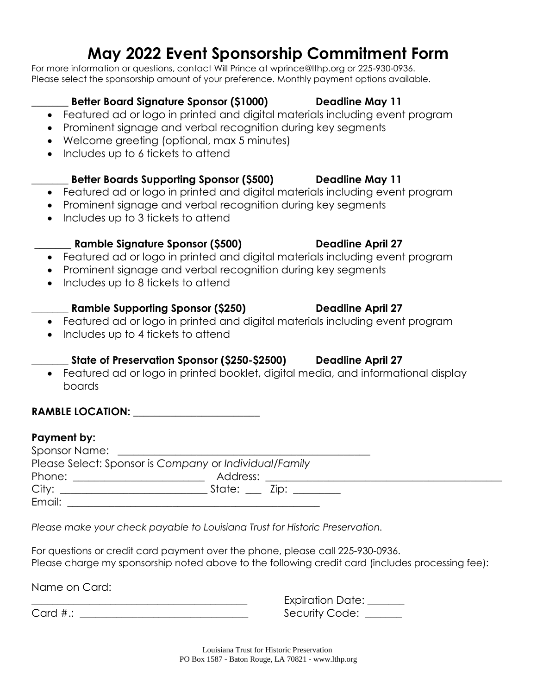# **May 2022 Event Sponsorship Commitment Form**

For more information or questions, contact Will Prince at wprince@lthp.org or 225-930-0936. Please select the sponsorship amount of your preference. Monthly payment options available.

### **\_\_\_\_\_\_\_ Better Board Signature Sponsor (\$1000) Deadline May 11**

- Featured ad or logo in printed and digital materials including event program
- Prominent signage and verbal recognition during key segments
- Welcome greeting (optional, max 5 minutes)
- Includes up to 6 tickets to attend

### **\_\_\_\_\_\_\_ Better Boards Supporting Sponsor (\$500) Deadline May 11**

- Featured ad or logo in printed and digital materials including event program
- Prominent signage and verbal recognition during key segments
- Includes up to 3 tickets to attend

## \_\_\_\_\_\_\_ **Ramble Signature Sponsor (\$500) Deadline April 27**

- Featured ad or logo in printed and digital materials including event program
- Prominent signage and verbal recognition during key segments
- Includes up to 8 tickets to attend

# **\_\_\_\_\_\_\_ Ramble Supporting Sponsor (\$250) Deadline April 27**

- Featured ad or logo in printed and digital materials including event program
- Includes up to 4 tickets to attend

## **\_\_\_\_\_\_\_ State of Preservation Sponsor (\$250-\$2500) Deadline April 27**

• Featured ad or logo in printed booklet, digital media, and informational display boards

## **RAMBLE LOCATION:**  $\blacksquare$

### **Payment by:**

Sponsor Name: \_\_\_\_\_\_\_\_\_\_\_\_\_\_\_\_\_\_\_\_\_\_\_\_\_\_\_\_\_\_\_\_\_\_\_\_\_\_\_\_\_\_\_\_\_\_\_\_ Please Select: Sponsor is *Company* or *Individual/Family* Phone: \_\_\_\_\_\_\_\_\_\_\_\_\_\_\_\_\_\_\_\_\_\_\_\_\_ Address: \_\_\_\_\_\_\_\_\_\_\_\_\_\_\_\_\_\_\_\_\_\_\_\_\_\_\_\_\_\_\_\_\_\_\_\_\_\_\_\_\_\_\_\_\_ City: \_\_\_\_\_\_\_\_\_\_\_\_\_\_\_\_\_\_\_\_\_\_\_\_\_\_\_\_ State: \_\_\_ Zip: \_\_\_\_\_\_\_\_\_ Email: \_\_\_\_\_\_\_\_\_\_\_\_\_\_\_\_\_\_\_\_\_\_\_\_\_\_\_\_\_\_\_\_\_\_\_\_\_\_\_\_\_\_\_\_\_\_\_\_

*Please make your check payable to Louisiana Trust for Historic Preservation.*

For questions or credit card payment over the phone, please call 225-930-0936. Please charge my sponsorship noted above to the following credit card (includes processing fee):

Name on Card:

 $\mathcal{L}=\{1,2,3,4,5\}$  $Card \#.:$ 

Expiration Date: \_\_\_\_\_\_ Security Code: \_\_\_\_\_\_